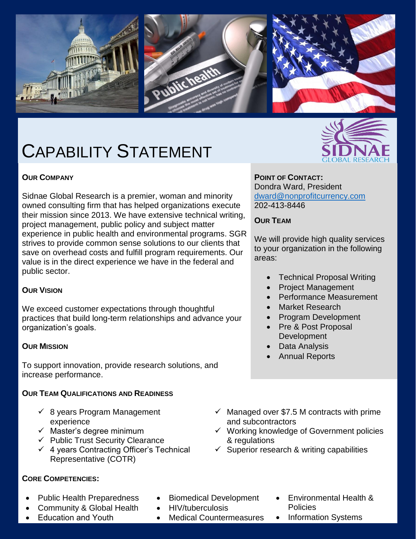

# CAPABILITY STATEMENT

#### **OUR COMPANY**

Sidnae Global Research is a premier, woman and minority owned consulting firm that has helped organizations execute their mission since 2013. We have extensive technical writing, project management, public policy and subject matter experience in public health and environmental programs. SGR strives to provide common sense solutions to our clients that save on overhead costs and fulfill program requirements. Our value is in the direct experience we have in the federal and public sector.

#### **OUR VISION**

We exceed customer expectations through thoughtful practices that build long-term relationships and advance your organization's goals.

#### **OUR MISSION**

To support innovation, provide research solutions, and increase performance.

#### **OUR TEAM QUALIFICATIONS AND READINESS**

- $\checkmark$  8 years Program Management experience
- $\checkmark$  Master's degree minimum
- $\checkmark$  Public Trust Security Clearance
- $\checkmark$  4 years Contracting Officer's Technical Representative (COTR)

#### **CORE COMPETENCIES:**

- Public Health Preparedness
- Community & Global Health
- Education and Youth
- Biomedical Development
- HIV/tuberculosis
- Medical Countermeasures



**POINT OF CONTACT:** Dondra Ward, President [dward@nonprofitcurrency.com](mailto:dward@nonprofitcurrency.com)

202-413-8446

## **OUR TEAM**

We will provide high quality services to your organization in the following areas:

- Technical Proposal Writing
- Project Management
- Performance Measurement
- Market Research
- Program Development
- Pre & Post Proposal **Development**
- Data Analysis
- Annual Reports
- $\checkmark$  Managed over \$7.5 M contracts with prime and subcontractors
- $\checkmark$  Working knowledge of Government policies & regulations
- $\checkmark$  Superior research & writing capabilities
	- Environmental Health & Policies
	- Information Systems